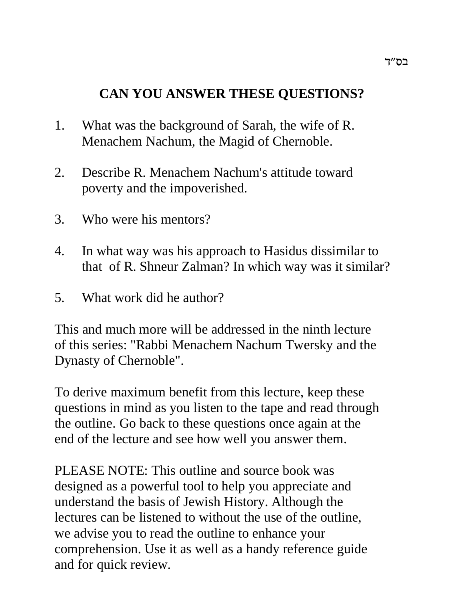# **CAN YOU ANSWER THESE QUESTIONS?**

- 1. What was the background of Sarah, the wife of R. Menachem Nachum, the Magid of Chernoble.
- 2. Describe R. Menachem Nachum's attitude toward poverty and the impoverished.
- 3. Who were his mentors?
- 4. In what way was his approach to Hasidus dissimilar to that of R. Shneur Zalman? In which way was it similar?
- 5. What work did he author?

This and much more will be addressed in the ninth lecture of this series: "Rabbi Menachem Nachum Twersky and the Dynasty of Chernoble".

To derive maximum benefit from this lecture, keep these questions in mind as you listen to the tape and read through the outline. Go back to these questions once again at the end of the lecture and see how well you answer them.

PLEASE NOTE: This outline and source book was designed as a powerful tool to help you appreciate and understand the basis of Jewish History. Although the lectures can be listened to without the use of the outline, we advise you to read the outline to enhance your comprehension. Use it as well as a handy reference guide and for quick review.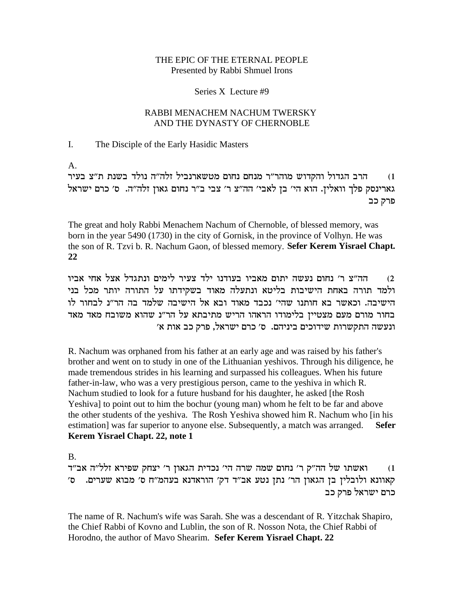# THE EPIC OF THE ETERNAL PEOPLE Presented by Rabbi Shmuel Irons

### Series X Lecture #9

# RABBI MENACHEM NACHUM TWERSKY AND THE DYNASTY OF CHERNOBLE

#### $\mathbf{I}$ . The Disciple of the Early Hasidic Masters

A.

הרב הגדול והקדוש מוהר"ר מנחם נחום מטשארנביל זלה"ה נולד בשנת ת"צ בעיר  $(1)$ גארינסק פלך וואלין. הוא הי' בן לאבי' הה"צ ר' צבי ב"ר נחום גאון זלה"ה. ס' כרם ישראל פרק כב

The great and holy Rabbi Menachem Nachum of Chernoble, of blessed memory, was born in the year 5490 (1730) in the city of Gornisk, in the province of Volhyn. He was the son of R. Tzvi b. R. Nachum Gaon, of blessed memory. Sefer Kerem Yisrael Chapt.  $22$ 

הה"צ ר' נחום נעשה יתום מאביו בעודנו ילד צעיר לימים ונתגדל אצל אחי אביו  $(2)$ ולמד תורה באחת הישיבות בליטא ונתעלה מאוד בשקידתו על התורה יותר מכל בני הישיבה. וכאשר בא חותנו שהי׳ נכבד מאוד ובא אל הישיבה שלמד בה הר״נ לבחור לו בחור מורם מעם מצטיין בלימודו הראהו הריש מתיבתא על הר״נ שהוא משובח מאד מאד ונעשה התקשרות שידוכים ביניהם. ס׳ כרם ישראל, פרק כב אות א׳

R. Nachum was orphaned from his father at an early age and was raised by his father's brother and went on to study in one of the Lithuanian yeshivos. Through his diligence, he made tremendous strides in his learning and surpassed his colleagues. When his future father-in-law, who was a very prestigious person, came to the yeshiva in which R. Nachum studied to look for a future husband for his daughter, he asked [the Rosh] Yeshival to point out to him the bochur (young man) whom he felt to be far and above the other students of the yeshiva. The Rosh Yeshiva showed him R. Nachum who [in his estimation] was far superior to anyone else. Subsequently, a match was arranged. **Sefer** Kerem Yisrael Chapt. 22, note 1

В.

ואשתו של הה"ק ר' נחום שמה שרה הי' נכדית הגאון ר' יצחק שפירא זלל"ה אב"ד  $(1)$ קאוונא ולובלין בן הגאון הר׳ נתן נטע אב"ד דק׳ הוראדנא בעהמ"ח ס׳ מבוא שערים. ס׳ כרם ישראל פרק כב

The name of R. Nachum's wife was Sarah. She was a descendant of R. Yitzchak Shapiro, the Chief Rabbi of Kovno and Lublin, the son of R. Nosson Nota, the Chief Rabbi of Horodno, the author of Mavo Shearim. Sefer Kerem Yisrael Chapt. 22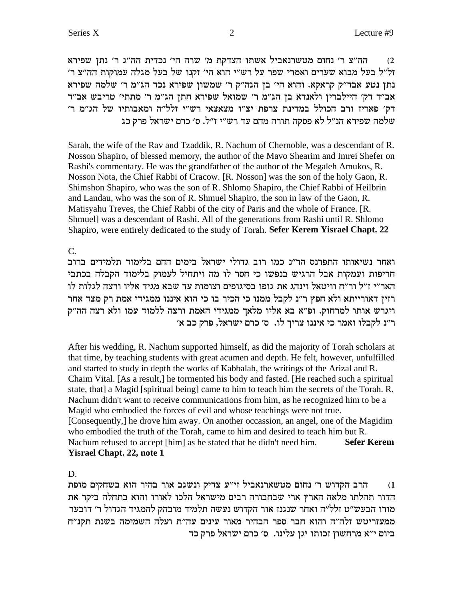הה"צ ר' נחום מטשרנאביל אשתו הצדקת מ' שרה הי' נכדית הה"ג ר' נתן שפירא 'זל"ל בעל מבוא שערים ואמרי שפר על רש"י הוא הי' זקנו של בעל מגלה עמוקות הה"צ ר נתן נטע אבד"ק קראקא. והוא הי' בן הגה"ק ר' שמשון שפירא נכד הג"מ ר' שלמה שפירא אב״ד דק׳ היילברין ולאנדא בן הג״מ ר׳ שמואל שפירא חתן הג״מ ר׳ מתתי׳ טריבש אב״ד 'רק' פאריז ורב הכולל במדינת צרפת יצ"ו מצאצאי רש"י זלל"ה ומאבותיו של הג"מ ר שלמה שפירא הנ"ל לא פסקה תורה מהם עד רש"י ז"ל. ס' כרם ישראל פרק כג

Sarah, the wife of the Rav and Tzaddik, R. Nachum of Chernoble, was a descendant of R. Nosson Shapiro, of blessed memory, the author of the Mavo Shearim and Imrei Shefer on Rashi's commentary. He was the grandfather of the author of the Megaleh Amukos, R. Nosson Nota, the Chief Rabbi of Cracow. [R. Nosson] was the son of the holy Gaon, R. Shimshon Shapiro, who was the son of R. Shlomo Shapiro, the Chief Rabbi of Heilbrin and Landau, who was the son of R. Shmuel Shapiro, the son in law of the Gaon, R. Matisyahu Treves, the Chief Rabbi of the city of Paris and the whole of France. [R. Shmuel] was a descendant of Rashi. All of the generations from Rashi until R. Shlomo Shapiro, were entirely dedicated to the study of Torah. **Sefer Kerem Yisrael Chapt. 22**

C.

ואחר נשיאותו התפרנס הר״נ כמו רוב גדולי ישראל בימים ההם בלימוד תלמידים ברוב חריפות ועמקות אבל הרגיש בנפשו כי חסר לו מה ויתחיל לעמוק בלימוד הקבלה בכתבי האר״י ז״ל ור״ח וויטאל וינהג את גופו בסיגופים וצומות עד שבא מגיד אליו ורצה לגלות לו רזין דאורייתא ולא חפץ ר"נ לקבל ממנו כי הכיר בו כי הוא איננו ממגידי אמת רק מצד אחר ויגרש אותו למרחוק. ופ"א בא אליו מלאך ממגידי האמת ורצה ללמוד עמו ולא רצה הה"ק 'ר"ג לקבלו ואמר כי איננו צריך לו. ס' כרם ישראל, פרק כב א

After his wedding, R. Nachum supported himself, as did the majority of Torah scholars at that time, by teaching students with great acumen and depth. He felt, however, unfulfilled and started to study in depth the works of Kabbalah, the writings of the Arizal and R. Chaim Vital. [As a result,] he tormented his body and fasted. [He reached such a spiritual state, that] a Magid [spiritual being] came to him to teach him the secrets of the Torah. R. Nachum didn't want to receive communications from him, as he recognized him to be a Magid who embodied the forces of evil and whose teachings were not true. [Consequently,] he drove him away. On another occassion, an angel, one of the Magidim who embodied the truth of the Torah, came to him and desired to teach him but R. Nachum refused to accept [him] as he stated that he didn't need him. **Sefer Kerem Yisrael Chapt. 22, note 1**

D.

ו) הרב הקדוש ר' נחום מטשארנאביל זי״ע צדיק ונשגב אור בהיר הוא בשחקים מופת הדור תהלתו מלאה הארץ ארי שבחבורה רבים מישראל הלכו לאורו והוא בתחלה ביקר את מורו הבעש״ט זלל״ה ואחר שנגנז אור הקדוש נעשה תלמיד מובהק להמגיד הגדול ר׳ דובער ממעזריטש זלה"ה והוא חבר ספר הבהיר מאור עינים עה"ת ועלה השמימה בשנת תקנ"ח ביום י"א מרחשון זכותו יגן עלינו. ס' כרם ישראל פרק כד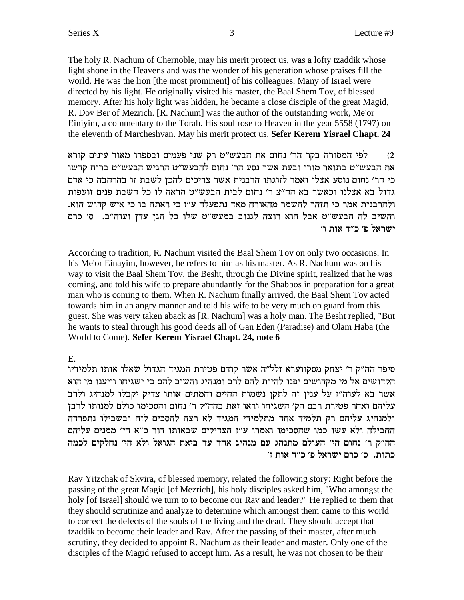The holy R. Nachum of Chernoble, may his merit protect us, was a lofty tzaddik whose light shone in the Heavens and was the wonder of his generation whose praises fill the world. He was the lion [the most prominent] of his colleagues. Many of Israel were directed by his light. He originally visited his master, the Baal Shem Tov, of blessed memory. After his holy light was hidden, he became a close disciple of the great Magid, R. Dov Ber of Mezrich. [R. Nachum] was the author of the outstanding work, Me'or Einiyim, a commentary to the Torah. His soul rose to Heaven in the year 5558 (1797) on the eleventh of Marcheshvan. May his merit protect us. Sefer Kerem Yisrael Chapt. 24

לפי המסורה בקר הר' נחום את הבעש"ט רק שני פעמים ובספרו מאור עינים קורא  $(2)$ את הבעש״ט בתואר מורי ובעת אשר נסע הר׳ נחום להבעש״ט הרגיש הבעש״ט ברוח קדשו כי הר׳ נחום נוסע אצלו ואמר לזוגתו הרבנית אשר צריכים להכן לשבת זו בהרחבה כי אדם גדול בא אצלנו וכאשר בא הה״צ ר׳ נחום לבית הבעש״ט הראה לו כל השבת פנים זועפות ולהרבנית אמר כי תזהר להשמר מהאורח מאד נתפעלה ע״ז כי ראתה בו כי איש קדוש הוא. והשיב לה הבעש"ט אבל הוא רוצה לגנוב במעש"ט שלו כל הגן עדן ועוה"ב. ס' כרם ישראל פ׳ כ״ד אות ו׳

According to tradition, R. Nachum visited the Baal Shem Tov on only two occasions. In his Me'or Einayim, however, he refers to him as his master. As R. Nachum was on his way to visit the Baal Shem Tov, the Besht, through the Divine spirit, realized that he was coming, and told his wife to prepare abundantly for the Shabbos in preparation for a great man who is coming to them. When R. Nachum finally arrived, the Baal Shem Tov acted towards him in an angry manner and told his wife to be very much on guard from this guest. She was very taken aback as [R. Nachum] was a holy man. The Besht replied, "But he wants to steal through his good deeds all of Gan Eden (Paradise) and Olam Haba (the World to Come). Sefer Kerem Yisrael Chapt. 24, note 6

 $E_{\perp}$ 

סיפר הה"ק ר' יצחק מסקווערא זלל"ה אשר קודם פטירת המגיד הגדול שאלו אותו תלמידיו הקדושים אל מי מקדושים יפנו להיות להם לרב ומנהיג והשיב להם כי ישגיחו וייענו מי הוא אשר בא לעוה"ז על ענין זה לתקן נשמות החיים והמתים אותו צדיק יקבלו למנהיג ולרב עליהם ואחר פטירת רבם הק׳ השגיחו וראו זאת בהה״ק ר׳ נחום והסכימו כולם למנותו לרבן ולמנהיג עליהם רק תלמיד אחד מתלמידי המגיד לא רצה להסכים לזה ובשבילו נתפרדה החבילה ולא עשו כמו שהסכימו ואמרו ע"ז הצדיקים שבאותו דור כ"א הי' ממנים עליהם הה״ק ר׳ נחום הי׳ העולם מתנהג עם מנהיג אחד עד ביאת הגואל ולא הי׳ נחלקים לכמה כתות. ס׳ כרם ישראל פ׳ כ״ד אות ז׳

Rav Yitzchak of Skvira, of blessed memory, related the following story: Right before the passing of the great Magid [of Mezrich], his holy disciples asked him, "Who amongst the holy [of Israel] should we turn to to become our Rav and leader?" He replied to them that they should scrutinize and analyze to determine which amongst them came to this world to correct the defects of the souls of the living and the dead. They should accept that tzaddik to become their leader and Rav. After the passing of their master, after much scrutiny, they decided to appoint R. Nachum as their leader and master. Only one of the disciples of the Magid refused to accept him. As a result, he was not chosen to be their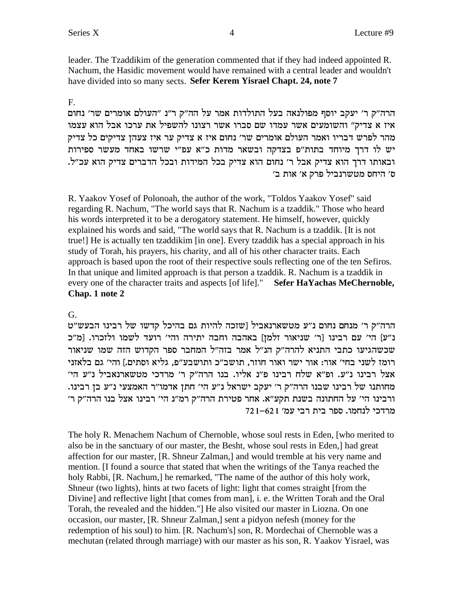leader. The Tzaddikim of the generation commented that if they had indeed appointed R. Nachum, the Hasidic movement would have remained with a central leader and wouldn't have divided into so many sects. Sefer Kerem Yisrael Chapt. 24, note 7

# $F_{\perp}$

הרה"ק ר' יעקב יוסף מפולנאה בעל התולדות אמר על הה"ק ר"נ "העולם אומרים שר' נחום איז א צדיק" והשומעים אשר עמדו שם סברו אשר רצונו להשפיל את ערכו אבל הוא עצמו מהר לפרש דבריו ואמר העולם אומרים שר׳ נחום איז א צדיק ער איז צעהן צדיקים כל צדיק יש לו דרך מיוחד בתות"פ בצדקה ובשאר מדות כ"א עפ"י שרשו באחד מעשר ספירות ובאותו דרך הוא צדיק אבל ר׳ נחום הוא צדיק בכל המידות ובכל הדברים צדיק הוא עכ״ל. ס׳ היחס מטשרנביל פרק א׳ אות ב׳

R. Yaakov Yosef of Polonoah, the author of the work, "Toldos Yaakov Yosef" said regarding R. Nachum, "The world says that R. Nachum is a tzaddik." Those who heard his words interpreted it to be a derogatory statement. He himself, however, quickly explained his words and said, "The world says that R. Nachum is a tzaddik. IIt is not true!] He is actually ten tzaddikim [in one]. Every tzaddik has a special approach in his study of Torah, his prayers, his charity, and all of his other character traits. Each approach is based upon the root of their respective souls reflecting one of the ten Sefiros. In that unique and limited approach is that person a tzaddik. R. Nachum is a tzaddik in every one of the character traits and aspects [of life]." Sefer HaYachas MeChernoble, Chap. 1 note 2

# $G_{\cdot}$

הרה"ק ר' מנחם נחום נ"ע מטשארנאביל [שזכה להיות גם בהיכל קדשו של רבינו הבעש"ט נ"ע] הי' עם רבינו [ר' שניאור זלמן] באהבה וחבה יתירה והי' רועד לשמו ולזכרו. [מ"כ שכשהגיעו כתבי התניא להרה"ק הנ"ל אמר בזה"ל המחבר ספר הקדוש הזה שמו שניאור רומז לשני בחי׳ אור: אור ישר ואור חוזר, תושב״כ ותושבע״פ, גליא וסתים.] והי׳ גם בלאזני אצל רבינו נ"ע. ופ"א שלח רבינו פ"נ אליו. בנו הרה"ק ר' מרדכי מטשארנאביל נ"ע הי' מחותנו של רבינו שבנו הרה"ק ר' יעקב ישראל נ"ע הי' חתן אדמו"ר האמצעי נ"ע בן רבינו. ורבינו הי׳ על החתונה בשנת תקע״א. אחר פטירת הרה״ק רמ״נ הי׳ רבינו אצל בנו הרה״ק ר׳ מרדכי לנחמו. ספר בית רבי עמ׳ 1–621

The holy R. Menachem Nachum of Chernoble, whose soul rests in Eden, [who merited to also be in the sanctuary of our master, the Besht, whose soul rests in Eden,] had great affection for our master, [R. Shneur Zalman,] and would tremble at his very name and mention. If found a source that stated that when the writings of the Tanya reached the holy Rabbi, [R. Nachum,] he remarked, "The name of the author of this holy work, Shneur (two lights), hints at two facets of light: light that comes straight [from the Divine] and reflective light [that comes from man], i. e. the Written Torah and the Oral Torah, the revealed and the hidden."] He also visited our master in Liozna. On one occasion, our master, [R. Shneur Zalman,] sent a pidyon nefesh (money for the redemption of his soul) to him. [R. Nachum's] son, R. Mordechai of Chernoble was a mechutan (related through marriage) with our master as his son, R. Yaakov Yisrael, was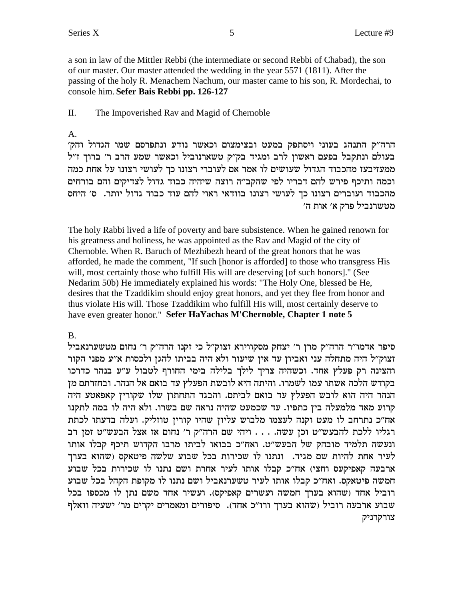a son in law of the Mittler Rebbi (the intermediate or second Rebbi of Chabad), the son of our master. Our master attended the wedding in the year 5571 (1811). After the passing of the holy R. Menachem Nachum, our master came to his son, R. Mordechai, to console him. **Sefer Bais Rebbi pp. 126-127**

II. The Impoverished Rav and Magid of Chernoble

# A.

הרה״ק התנהג בעוני ויסתפק במעט ובצימצום וכאשר נודע ונתפרסם שמו הגדול והק׳ בעולם ונתקבל בפעם ראשון לרב ומגיד בק"ק טשארנוביל וכאשר שמע הרב ר' ברוך ז"ל ממעזיבעז מהכבוד הגדול שעושים לו אמר אם לעוברי רצונו כך לעושי רצונו על אחת כמה וכמה ותיכף פירש להם דבריו לפי שהקב"ה רוצה שיהיה כבוד גדול לצדיקים והם בורחים מהכבוד ועוברים רצונו כך לעושי רצונו בוודאי ראוי להם עוד כבוד גדול יותר. ס׳ היחס מטשרנביל פרק א׳ אות ה׳

The holy Rabbi lived a life of poverty and bare subsistence. When he gained renown for his greatness and holiness, he was appointed as the Rav and Magid of the city of Chernoble. When R. Baruch of Mezhibezh heard of the great honors that he was afforded, he made the comment, "If such [honor is afforded] to those who transgress His will, most certainly those who fulfill His will are deserving [of such honors]." (See Nedarim 50b) He immediately explained his words: "The Holy One, blessed be He, desires that the Tzaddikim should enjoy great honors, and yet they flee from honor and thus violate His will. Those Tzaddikim who fulfill His will, most certainly deserve to have even greater honor." **Sefer HaYachas M'Chernoble, Chapter 1 note 5**

# B.

סיפר אדמו"ר הרה"ק מרן ר' יצחק מסקווירא זצוק"ל כי זקנו הרה"ק ר' נחום מטשערנאביל זצוק״ל היה מתחלה עני ואביון עד אין שיעור ולא היה בביתו להגן ולכסות א״ע מפני הקור והצינה רק פעלץ אחד. וכשהיה צריך לילך בלילה בימי החורף לטבול ע״ע בנהר כדרכו בקודש הלכה אשתו עמו לשמרו. והיתה היא לובשת הפעלץ עד בואם אל הנהר. ובחזרתם מן הנהר היה הוא לובש הפעלץ עד בואם לביתם. והבגד התחתון שלו שקורין קאפאטע היה קרוע מאד מלמעלה בין כתפיו. עד שכמעט שהיה נראה שם בשרו. ולא היה לו במה לתקנו אח״כ נתרחב לו מעט וקנה לעצמו מלבוש עליון שהיו קורין טוזליק. ועלה בדעתו לכתת רגליו ללכת להבעש"ט וכן עשה. . . . ויהי שם הרה"ק ר' נחום אז אצל הבעש"ט זמן רב ונעשה תלמיד מובהק של הבעש"ט. ואח"כ בבואו לביתו מרבו הקדוש תיכף קבלו אותו לעיר אחת להיות שם מגיד. ונתנו לו שכירות בכל שבוע שלשה פיטאקס (שהוא בערך ארבעה קאפיקעס וחצי) אח"כ קבלו אותו לעיר אחרת ושם נתנו לו שכירות בכל שבוע חמשה פיטאקס. ואח"כ קבלו אותו לעיר טשערנאביל ושם נתנו לו מקופת הקהל בכל שבוע רוביל אחד (שהוא בערך חמשה ועשרים קאפיקס). ועשיר אחד משם נתן לו מכספו בכל שבוע ארבעה רוביל (שהוא בערך ורו"כ אחד). סיפורים ומאמרים יקרים מר' ישעיה וואלף צורקרניק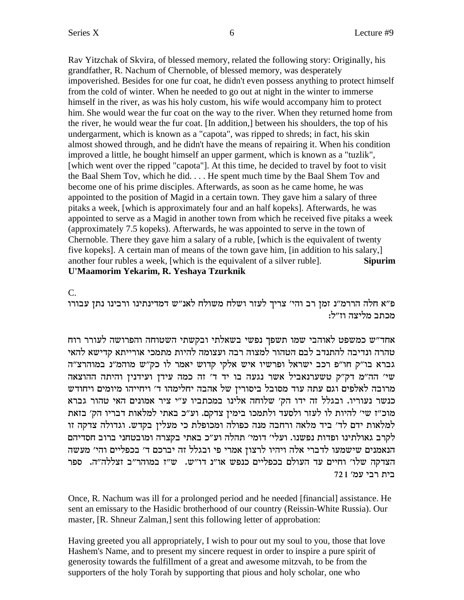Rav Yitzchak of Skvira, of blessed memory, related the following story: Originally, his grandfather, R. Nachum of Chernoble, of blessed memory, was desperately impoverished. Besides for one fur coat, he didn't even possess anything to protect himself from the cold of winter. When he needed to go out at night in the winter to immerse himself in the river, as was his holy custom, his wife would accompany him to protect him. She would wear the fur coat on the way to the river. When they returned home from the river, he would wear the fur coat. [In addition,] between his shoulders, the top of his undergarment, which is known as a "capota", was ripped to shreds; in fact, his skin almost showed through, and he didn't have the means of repairing it. When his condition improved a little, he bought himself an upper garment, which is known as a "tuzlik", [which went over the ripped "capota"]. At this time, he decided to travel by foot to visit the Baal Shem Tov, which he did. . . . He spent much time by the Baal Shem Tov and become one of his prime disciples. Afterwards, as soon as he came home, he was appointed to the position of Magid in a certain town. They gave him a salary of three pitaks a week, [which is approximately four and an half kopeks]. Afterwards, he was appointed to serve as a Magid in another town from which he received five pitaks a week (approximately 7.5 kopeks). Afterwards, he was appointed to serve in the town of Chernoble. There they gave him a salary of a ruble, [which is the equivalent of twenty five kopeks]. A certain man of means of the town gave him, [in addition to his salary,] another four rubles a week, [which is the equivalent of a silver ruble]. **Sipurim U'Maamorim Yekarim, R. Yeshaya Tzurknik**

C.

פ"א חלה הררמ"נ זמן רב והי' צריך לעזר ושלח משולח לאנ"ש דמדינתינו ורבינו נתן עבורו :מכתב מליצה וז״ל

אחד"ש כמשפט לאוהבי שמו תשפך נפשי בשאלתי ובקשתי השטוחה והפרושה לעורר רוח טהרה ונדיבה להתנדב לבם הטהור למצוה רבה ועצומה להיות מתמכי אורייתא קדישא להאי גברא בו"ק חו"פ רכב ישראל ופרשיו איש אלקי קדוש יאמר לו כק"ש מוהמ"נ במוהרצ"ה שי׳ הה״מ דק״ק טשערנאביל אשר נגעה בו יד ד׳ זה כמה עידן ועידנין והיתה ההוצאה מרובה לאלפים וגם עתה עוד מסובל ביסורין של אהבה יחלימהו ד׳ ויחייהו מיומים ויחודש כנשר נעוריו. ובגלל זה ידו הק׳ שלוחה אלינו במכתביו ע״י ציר אמונים האי טהור גברא מוכ״ז שי׳ להיות לו לעזר ולסעד ולתמכו בימיז צדקם. וע״כ באתי למלאות דבריו הק׳ בזאת למלאות ידם לד׳ ביד מלאה ורחבה מנה כפולה ומכופלת כי מעלין בקדש. וגדולה צדקה זו לקרב גאולתינו ופדות נפשנו. ועלי׳ דומי׳ תהלה וע״כ באתי בקצרה ומובטחני ברוב חסדיהם הנאמנים שישמעו לדברי אלה ויהיו לרצון אמרי פי ובגלל זה יברכם ד' בכפליים והי' מעשה הצדקה שלו' וחיים עד העולם בכפליים כנפש או"נ דו"ש. ש"ז במוהר"ב זצללה"ה. ספר  $721'$  בית רבי עמ

Once, R. Nachum was ill for a prolonged period and he needed [financial] assistance. He sent an emissary to the Hasidic brotherhood of our country (Reissin-White Russia). Our master, [R. Shneur Zalman,] sent this following letter of approbation:

Having greeted you all appropriately, I wish to pour out my soul to you, those that love Hashem's Name, and to present my sincere request in order to inspire a pure spirit of generosity towards the fulfillment of a great and awesome mitzvah, to be from the supporters of the holy Torah by supporting that pious and holy scholar, one who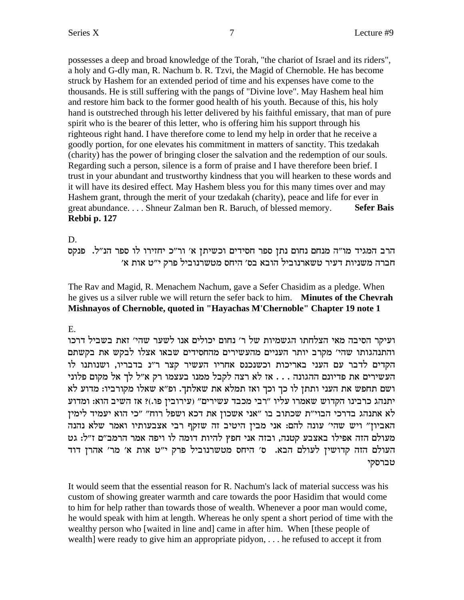possesses a deep and broad knowledge of the Torah, "the chariot of Israel and its riders", a holy and G-dly man, R. Nachum b. R. Tzvi, the Magid of Chernoble. He has become struck by Hashem for an extended period of time and his expenses have come to the thousands. He is still suffering with the pangs of "Divine love". May Hashem heal him and restore him back to the former good health of his youth. Because of this, his holy hand is outstreched through his letter delivered by his faithful emissary, that man of pure spirit who is the bearer of this letter, who is offering him his support through his righteous right hand. I have therefore come to lend my help in order that he receive a goodly portion, for one elevates his commitment in matters of sanctity. This tzedakah (charity) has the power of bringing closer the salvation and the redemption of our souls. Regarding such a person, silence is a form of praise and I have therefore been brief. I trust in your abundant and trustworthy kindness that you will hearken to these words and it will have its desired effect. May Hashem bless you for this many times over and may Hashem grant, through the merit of your tzedakah (charity), peace and life for ever in great abundance. . . . Shneur Zalman ben R. Baruch, of blessed memory. **Sefer Bais Rebbi p. 127**

D.

הרב המגיד מו"ה מנחם נחום נתן ספר חסידים וכשיתן א' ור"כ יחזירו לו ספר הנ"ל. פנקס ' הברה משניות דעיר טשארנוביל הובא בס׳ היחס מטשרנוביל פרק י״ט אות א

The Rav and Magid, R. Menachem Nachum, gave a Sefer Chasidim as a pledge. When he gives us a silver ruble we will return the sefer back to him. **Minutes of the Chevrah Mishnayos of Chernoble, quoted in "Hayachas M'Chernoble" Chapter 19 note 1**

E.

ועיקר הסיבה מאי הצלחתו הגשמיות של ר׳ נחום יכולים אנו לשער שהי׳ זאת בשביל דרכו והתנהגותו שהי' מקרב יותר העניים מהעשירים מהחסידים שבאו אצלו לבקש את בקשתם הקדים לדבר עם העני באריכות וכשנכנס אחריו העשיר קצר ר"נ בדבריו, ושנותנו לו העשירים את פדיונם ההגונה . . . אז לא רצה לקבל ממנו בעצמו רק א״ל לך אל מקום פלוני ושם תחפש את העני ותתן לו כך וכך ואז תמלא את שאלתך. ופ"א שאלו מקורביו: מדוע לא יתנהג כרבינו הקדוש שאמרו עליו "רבי מכבד עשירים" (עירובין פו.)? אז השיב הוא: ומדוע לא אתנהג בדרכי הבוי"ת שכתוב בו "אני אשכון את דכא ושפל רוח" "כי הוא יעמיד לימין האביון" ויש שהי' עונה להם: אני מבין היטיב זה שזקף רבי אצבעותיו ואמר שלא נהנה מעולם הזה אפילו באצבע קטנה, ובזה אני חפץ להיות דומה לו ויפה אמר הרמב״ם ז״ל: גט העולם הזה קדושין לעולם הבא. ס׳ היחס מטשרנוביל פרק י״ט אות א׳ מר׳ אהרן דוד טברסקי

It would seem that the essential reason for R. Nachum's lack of material success was his custom of showing greater warmth and care towards the poor Hasidim that would come to him for help rather than towards those of wealth. Whenever a poor man would come, he would speak with him at length. Whereas he only spent a short period of time with the wealthy person who [waited in line and] came in after him. When [these people of wealth] were ready to give him an appropriate pidyon, . . . he refused to accept it from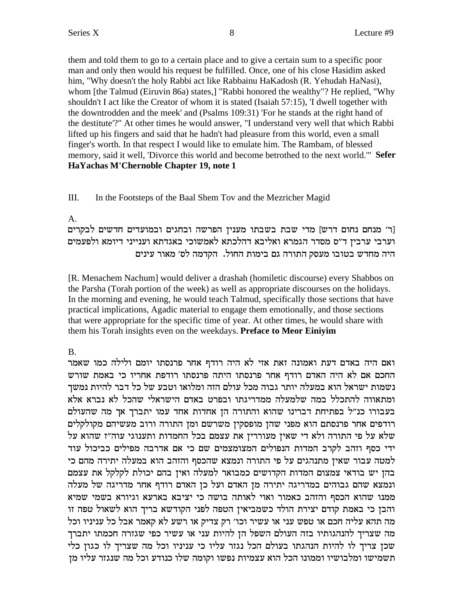them and told them to go to a certain place and to give a certain sum to a specific poor man and only then would his request be fulfilled. Once, one of his close Hasidim asked him, "Why doesn't the holy Rabbi act like Rabbainu HaKadosh (R. Yehudah HaNasi), whom [the Talmud (Eiruvin 86a) states,] "Rabbi honored the wealthy"? He replied, "Why shouldn't I act like the Creator of whom it is stated (Isaiah 57:15), 'I dwell together with the downtrodden and the meek' and (Psalms 109:31) 'For he stands at the right hand of the destitute'?" At other times he would answer, "I understand very well that which Rabbi lifted up his fingers and said that he hadn't had pleasure from this world, even a small finger's worth. In that respect I would like to emulate him. The Rambam, of blessed memory, said it well, 'Divorce this world and become betrothed to the next world.'" **Sefer HaYachas M'Chernoble Chapter 19, note 1**

# III. In the Footsteps of the Baal Shem Tov and the Mezricher Magid

A.

|ר׳ מנחם נחום דרש] מדי שבת בשבתו מעניז הפרשה ובחגים ובמועדים חדשים לבקרים וערבי ערבין ד"ס מסדר הגמרא ואליבא דהלכתא לאמשוכי באגדתא וענייני דיומא ולפעמים היה מחדש בטובו מעסק התורה גם בימות החול. הקדמה לס׳ מאור עינים

[R. Menachem Nachum] would deliver a drashah (homiletic discourse) every Shabbos on the Parsha (Torah portion of the week) as well as appropriate discourses on the holidays. In the morning and evening, he would teach Talmud, specifically those sections that have practical implications, Agadic material to engage them emotionally, and those sections that were appropriate for the specific time of year. At other times, he would share with them his Torah insights even on the weekdays. **Preface to Meor Einiyim**

B.

ואם היה באדם דעת ואמונה זאת אזי לא היה רודף אחר פרנסתו יומם ולילה כמו שאמר החכם אם לא היה האדם רודף אחר פרנסתו היתה פרנסתו רודפת אחריו כי באמת שורש נשמות ישראל הוא במעלה יותר גבוה מכל עולם הזה ומלואו וטבע של כל דבר להיות נמשך ומתאווה להתכלל במה שלמעלה ממדריגתו ובפרט באדם הישראלי שהכל לא נברא אלא בעבורו כנ"ל בפתיחת דברינו שהוא והתורה הן אחדות אחד עמו יתברך אך מה שהעולם רודפים אחר פרנסתם הוא מפני שהן מופסקין משרשם ומן התורה ורוב מעשיהם מקולקלים לא על פי התורה ולא די שאין מעוררין את עצמם בכל החמדות ותענוגי עוה"ז שהוא על ידי כסף וזהב לקרב המדות הנפולים המצומצמים שם כי אם אדרבה מפילים כביכול עוד למטה עבור שאין מתנהגים על פי התורה ונמצא שהכסף והזהב הוא במעלה יתירה מהם כי בהן יש בודאי צמצום המדות הקדושים כמבואר למעלה ואין בהם יכולת לקלקל את עצמם ונמצא שהם גבוהים במדריגה יתירה מן האדם ועל כן האדם רודף אחר מדריגה של מעלה ממנו שהוא הכסף והזהב כאמור ואוי לאותה בושה כי יציבא בארעא וגיורא בשמי שמיא והבן כי באמת קודם יצירת הולד כשמביאין הטפה לפני הקודשא בריך הוא לשאול טפה זו מה תהא עליה חכם או טפש עני או עשיר וכו׳ רק צדיק או רשע לא קאמר אבל כל עניניו וכל מה שצריך להנהגותיו בזה העולם השפל הן להיות עני או עשיר כפי שגזרה חכמתו יתברך שכן צריך לו להיות הנהגתו בעולם הכל נגזר עליו כי עניניו וכל מה שצריך לו כגון כלי תשמישו ומלבושיו וממונו הכל הוא עצמיות נפשו וקומה שלו כנודע וכל מה שנגזר עליו מן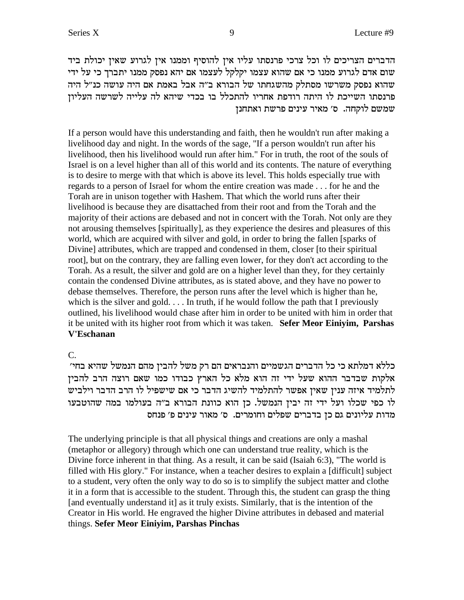הדברים הצריכים לו וכל צרכי פרנסתו עליו אין להוסיף וממנו אין לגרוע שאין יכולת ביד שום אדם לגרוע ממנו כי אם שהוא עצמו יקלקל לעצמו אם יהא נפסק ממנו יתברך כי על ידי שהוא נפסק משרשו מסתלק מהשגחתו של הבורא ב"ה אבל באמת אם היה עושה כנ"ל היה פרנסתו השייכת לו היתה רודפת אחריו להתכלל בו בכדי שיהא לה עלייה לשרשה העליון שמשם לוקחה. ס' מאיר עינים פרשת ואתחנן

If a person would have this understanding and faith, then he wouldn't run after making a livelihood day and night. In the words of the sage, "If a person wouldn't run after his livelihood, then his livelihood would run after him." For in truth, the root of the souls of Israel is on a level higher than all of this world and its contents. The nature of everything is to desire to merge with that which is above its level. This holds especially true with regards to a person of Israel for whom the entire creation was made . . . for he and the Torah are in unison together with Hashem. That which the world runs after their livelihood is because they are disattached from their root and from the Torah and the majority of their actions are debased and not in concert with the Torah. Not only are they not arousing themselves [spiritually], as they experience the desires and pleasures of this world, which are acquired with silver and gold, in order to bring the fallen [sparks of Divine] attributes, which are trapped and condensed in them, closer [to their spiritual root, but on the contrary, they are falling even lower, for they don't act according to the Torah. As a result, the silver and gold are on a higher level than they, for they certainly contain the condensed Divine attributes, as is stated above, and they have no power to debase themselves. Therefore, the person runs after the level which is higher than he, which is the silver and gold.... In truth, if he would follow the path that I previously outlined, his livelihood would chase after him in order to be united with him in order that it be united with its higher root from which it was taken. Sefer Meor Einiyim, Parshas **V'Eschanan** 

 $\overline{C}$ .

כללא דמלתא כי כל הדברים הגשמיים והנבראים הם רק משל להבין מהם הנמשל שהיא בחי׳ אלקות שבדבר ההוא שעל ידי זה הוא מלא כל הארץ כבודו כמו שאם רוצה הרב להבין לתלמיד איזה ענין שאין אפשר להתלמיד להשיג הדבר כי אם שישפיל לו הרב הדבר וילביש לו כפי שכלו ועל ידי זה יבין הנמשל. כן הוא כוונת הבורא ב"ה בעולמו במה שהוטבעו מדות עליונים גם כן בדברים שפלים וחומרים. ס׳ מאור עינים פ׳ פנחס

The underlying principle is that all physical things and creations are only a mashal (metaphor or allegory) through which one can understand true reality, which is the Divine force inherent in that thing. As a result, it can be said (Isaiah 6:3), "The world is filled with His glory." For instance, when a teacher desires to explain a [difficult] subject to a student, very often the only way to do so is to simplify the subject matter and clothe it in a form that is accessible to the student. Through this, the student can grasp the thing [and eventually understand it] as it truly exists. Similarly, that is the intention of the Creator in His world. He engraved the higher Divine attributes in debased and material things. Sefer Meor Einiyim, Parshas Pinchas

9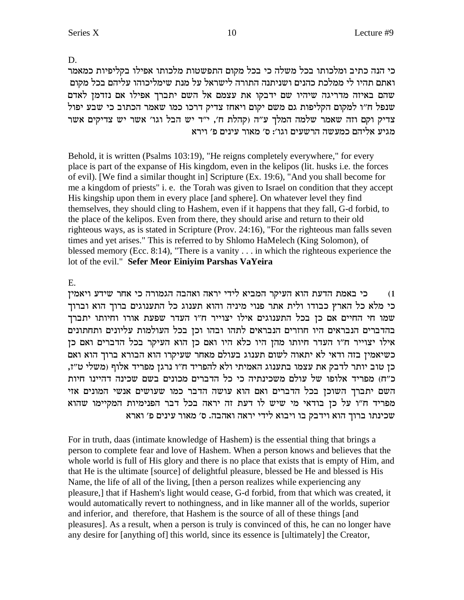righteous ways, as is stated in Scripture (Prov. 24:16), "For the righteous man falls seven blessed memory (Ecc. 8:14), "There is a vanity . . . in which the righteous experience the lot of the evil." **Sefer Meor Einiyim Parshas VaYeira**

מגיע אליהם כמעשה הרשעים וגו': ס' מאור עינים פ' וירא Behold, it is written (Psalms 103:19), "He reigns completely everywhere," for every place is part of the expanse of His kingdom, even in the kelipos (lit. husks i.e. the forces of evil). [We find a similar thought in] Scripture (Ex. 19:6), "And you shall become for me a kingdom of priests" i. e. the Torah was given to Israel on condition that they accept His kingship upon them in every place [and sphere]. On whatever level they find themselves, they should cling to Hashem, even if it happens that they fall, G-d forbid, to

כי הנה כתיב ומלכותו בכל משלה כי בכל מקום התפשטות מלכותו אפילו בקליפיות כמאמר ואתם תהיו לי ממלכת כהנים ושניתנה התורה לישראל על מנת שימליכוהו עליהם בכל מקום שהם באיזה מדריגה שיהיו שם ידבקו את עצמם אל השם יתברך אפילו אם נזדמן לאדם שנפל ח"ו למקום הקליפות גם משם יקום ויאחז צדיק דרכו כמו שאמר הכתוב כי שבע יפול צדיק וקם וזה שאמר שלמה המלך ע"ה (קהלת ח', י"ד יש הבל וגו' אשר יש צדיקים אשר

D.

the place of the kelipos. Even from there, they should arise and return to their old times and yet arises." This is referred to by Shlomo HaMelech (King Solomon), of

### E.

כי באמת הדעת הוא העיקר המביא לידי יראה ואהבה הגמורה כי אחר שידע ויאמין כי מלא כל הארץ כבודו ולית אתר פנוי מיניה והוא תענוג כל התענוגים ברוך הוא וברוך שמו חי החיים אם כן בכל התענוגים אילו יצוייר ח"ו העדר שפעת אורו וחיותו יתברך בהדברים הנבראים היו חוזרים הנבראים לתהו ובהו וכן בכל העולמות עליונים ותחתונים אילו יצוייר ח״ו העדר חיותו מהן היו כלא היו ואם כן הוא העיקר בכל הדברים ואם כן כשיאמין בזה ודאי לא יתאוה לשום תענוג בעולם מאחר שעיקרו הוא הבורא ברוך הוא ואם כן טוב יותר לדבק את עצמו בתענוג האמיתי ולא להפריד ח״ו נרגן מפריד אלוף (משלי ט״ז, כ״ח) מפריד אלופו של עולם משכינתיה כי כל הדברים מכונים בשם שכינה דהיינו חיות השם יתברך השוכן בכל הדברים ואם הוא עושה הדבר כמו שעושים אנשי המונים אזי מפריד ח"ו על כן בודאי מי שיש לו דעת זה יראה בכל דבר הפנימיות המקיימו שהוא טכינתו ברוך הוא וידבק בו ויבוא לידי יראה ואהבה. ס׳ מאור עינים פ׳ וארא

For in truth, daas (intimate knowledge of Hashem) is the essential thing that brings a person to complete fear and love of Hashem. When a person knows and believes that the whole world is full of His glory and there is no place that exists that is empty of Him, and that He is the ultimate [source] of delightful pleasure, blessed be He and blessed is His Name, the life of all of the living, [then a person realizes while experiencing any pleasure,] that if Hashem's light would cease, G-d forbid, from that which was created, it would automatically revert to nothingness, and in like manner all of the worlds, superior and inferior, and therefore, that Hashem is the source of all of these things [and pleasures]. As a result, when a person is truly is convinced of this, he can no longer have any desire for [anything of] this world, since its essence is [ultimately] the Creator,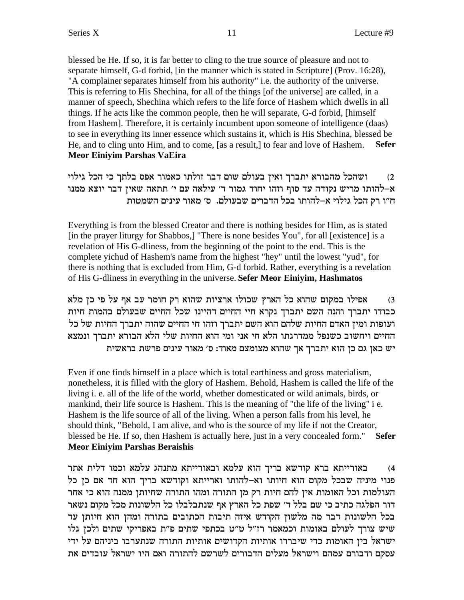blessed be He. If so, it is far better to cling to the true source of pleasure and not to separate himself, G-d forbid, [in the manner which is stated in Scripture] (Prov. 16:28), "A complainer separates himself from his authority" i.e. the authority of the universe. This is referring to His Shechina, for all of the things [of the universe] are called, in a manner of speech, Shechina which refers to the life force of Hashem which dwells in all things. If he acts like the common people, then he will separate, G-d forbid, [himself] from Hashem]. Therefore, it is certainly incumbent upon someone of intelligence (daas) to see in everything its inner essence which sustains it, which is His Shechina, blessed be He, and to cling unto Him, and to come, [as a result,] to fear and love of Hashem. **Sefer Meor Einiyim Parshas VaEira** 

ושהכל מהבורא יתברך ואין בעולם שום דבר זולתו כאמור אפס בלתך כי הכל גילוי  $(2)$ א–להותו מריש נקודה עד סוף וזהו יחוד גמור ד׳ עילאה עם י׳ תתאה שאין דבר יוצא ממנו ח״ו רק הכל גילוי א–להותו בכל הדברים שבעולם. ס׳ מאור עינים השמטות

Everything is from the blessed Creator and there is nothing besides for Him, as is stated [in the prayer liturgy for Shabbos,] "There is none besides You", for all [existence] is a revelation of His G-dliness, from the beginning of the point to the end. This is the complete yichud of Hashem's name from the highest "hey" until the lowest "yud", for there is nothing that is excluded from Him, G-d forbid. Rather, everything is a revelation of His G-dliness in everything in the universe. Sefer Meor Einiyim, Hashmatos

אפילו במקום שהוא כל הארץ שכולו ארציות שהוא רק חומר עב אף על פי כן מלא  $(3)$ כבודו יתברך והנה השם יתברך נקרא חיי החיים דהיינו שכל החיים שבעולם בהמות חיות ועופות ומין האדם החיות שלהם הוא השם יתברך וזהו חי החיים שהוה יתברך החיות של כל החיים ויחשוב כשנפל ממדרגתו הלא חי אני ומי הוא החיות שלי הלא הבורא יתברך ונמצא יש כאן גם כן הוא יתברך אך שהוא מצומצם מאוד: ס' מאור עינים פרשת בראשית

Even if one finds himself in a place which is total earthiness and gross materialism, nonetheless, it is filled with the glory of Hashem. Behold, Hashem is called the life of the living i. e. all of the life of the world, whether domesticated or wild animals, birds, or mankind, their life source is Hashem. This is the meaning of "the life of the living" i e. Hashem is the life source of all of the living. When a person falls from his level, he should think, "Behold, I am alive, and who is the source of my life if not the Creator, blessed be He. If so, then Hashem is actually here, just in a very concealed form." **Sefer Meor Einiyim Parshas Beraishis** 

באורייתא ברא קודשא בריך הוא עלמא ובאורייתא מתנהג עלמא וכמו דלית אתר  $(4)$ פנוי מיניה שבכל מקום הוא חיותו וא-להותו וארייתא וקודשא בריך הוא חד אם כן כל העולמות וכל האומות אין להם חיות רק מן התורה ומהו התורה שחיותן ממנה הוא כי אחר דור הפלגה כתיב כי שם בלל ד׳ שפת כל הארץ אף שנתבלבלו כל הלשונות מכל מקום נשאר בכל הלשונות דבר מה מלשון הקודש איזה תיבות הכתובים בתורה ומהן הוא חיותן עד שיש צורך לעולם באומות וכמאמר רז"ל ט"ט בכתפי שתים פ"ת באפריקי שתים ולכן גלו ישראל בין האומות כדי שיבררו אותיות הקדושים אותיות התורה שנתערבו ביניהם על ידי עסקם ודבורם עמהם וישראל מעלים הדבורים לשרשם להתורה ואם היו ישראל עובדים את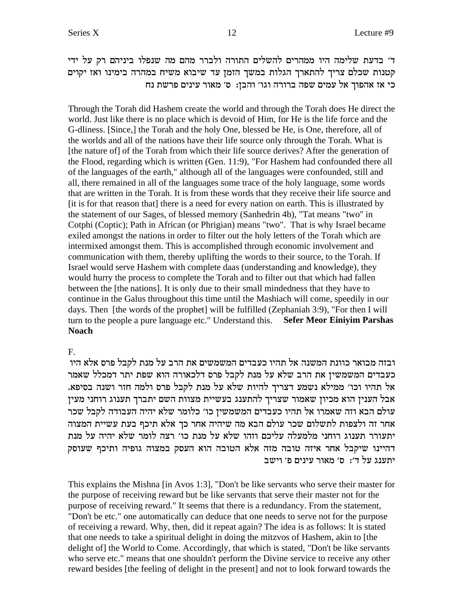ד׳ בדעת שלימה היו ממהרים להשלים התורה ולברר מהם מה שנפלו ביניהם רק על ידי קטנות שכלם צריך להתארך הגלות במשך הזמן עד שיבוא משיח במהרה בימינו ואז יקוים כי אז אהפוך אל עמים שפה ברורה וגו' והבן: ס' מאור עינים פרשת נח

Through the Torah did Hashem create the world and through the Torah does He direct the world. Just like there is no place which is devoid of Him, for He is the life force and the G-dliness. [Since,] the Torah and the holy One, blessed be He, is One, therefore, all of the worlds and all of the nations have their life source only through the Torah. What is [the nature of] of the Torah from which their life source derives? After the generation of the Flood, regarding which is written (Gen. 11:9), "For Hashem had confounded there all of the languages of the earth," although all of the languages were confounded, still and all, there remained in all of the languages some trace of the holy language, some words that are written in the Torah. It is from these words that they receive their life source and [it is for that reason that] there is a need for every nation on earth. This is illustrated by the statement of our Sages, of blessed memory (Sanhedrin 4b), "Tat means "two" in Cotphi (Coptic); Path in African (or Phrigian) means "two". That is why Israel became exiled amongst the nations in order to filter out the holy letters of the Torah which are intermixed amongst them. This is accomplished through economic involvement and communication with them, thereby uplifting the words to their source, to the Torah. If Israel would serve Hashem with complete daas (understanding and knowledge), they would hurry the process to complete the Torah and to filter out that which had fallen between the [the nations]. It is only due to their small mindedness that they have to continue in the Galus throughout this time until the Mashiach will come, speedily in our days. Then [the words of the prophet] will be fulfilled (Zephaniah 3:9), "For then I will turn to the people a pure language etc." Understand this. **Sefer Meor Einiyim Parshas Noach**

# F.

ובזה מבואר כוונת המשנה אל תהיו כעבדים המשמשים את הרב על מנת לקבל פרס אלא היו כעבדים המשמשין את הרב שלא על מנת לקבל פרס דלכאורה הוא שפת יתר דמכלל שאמר .אל תהיו וכו׳ ממילא נשמע דצריך להיות שלא על מנת לקבל פרס ולמה חזר ושנה בסיפא אבל הענין הוא מכיון שאמור שצריך להתענג בעשיית מצוות השם יתברך תענוג רוחני מעין עולם הבא וזה שאמרו אל תהיו כעבדים המשמשין כו׳ כלומר שלא יהיה העבודה לקבל שכר אחר זה ולצפות לתשלום שכר עולם הבא מה שיהיה אחר כך אלא תיכף בעת עשיית המצוה יתעורר תענוג רוחני מלמעלה עליכם וזהו שלא על מנת כו׳ רצה לומר שלא יהיה על מנת דהיינו שיקבל אחר איזה טובה מזה אלא הטובה הוא העסק במצוה גופיה ותיכף שעוסק יתענג על ד׳: ס׳ מאור עינים פ׳ וישב

This explains the Mishna [in Avos 1:3], "Don't be like servants who serve their master for the purpose of receiving reward but be like servants that serve their master not for the purpose of receiving reward." It seems that there is a redundancy. From the statement, "Don't be etc." one automatically can deduce that one needs to serve not for the purpose of receiving a reward. Why, then, did it repeat again? The idea is as follows: It is stated that one needs to take a spiritual delight in doing the mitzvos of Hashem, akin to [the delight of] the World to Come. Accordingly, that which is stated, "Don't be like servants who serve etc." means that one shouldn't perform the Divine service to receive any other reward besides [the feeling of delight in the present] and not to look forward towards the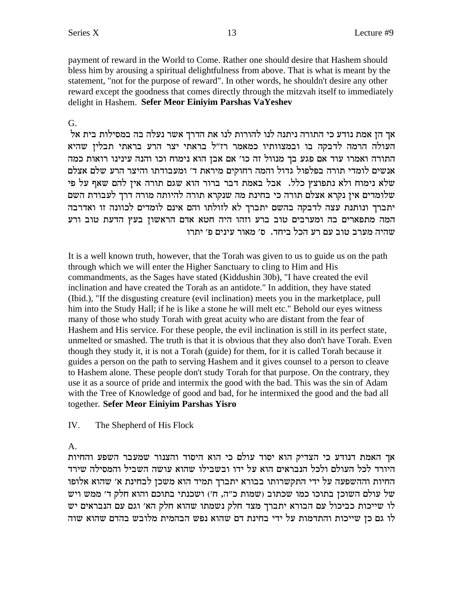payment of reward in the World to Come. Rather one should desire that Hashem should bless him by arousing a spiritual delightfulness from above. That is what is meant by the statement, "not for the purpose of reward". In other words, he shouldn't desire any other reward except the goodness that comes directly through the mitzvah itself to immediately delight in Hashem. Sefer Meor Einivim Parshas VaYeshev

G.

אך הן אמת נודע כי התורה ניתנה לנו להורות לנו את הדרך אשר נעלה בה במסילות בית אל העולה הרמה לדבקה בו ובמצוותיו כמאמר רז"ל בראתי יצר הרע בראתי תבלין שהיא התורה ואמרו עוד אם פגע בך מנוול זה כו' אם אבן הוא נימוח וכו והנה עינינו רואות כמה אנשים לומדי תורה בפלפול גדול והמה רחוקים מיראת ד׳ ומעבודתו והיצר הרע שלם אצלם שלא נימוח ולא נתפוצץ כלל. אבל באמת דבר ברור הוא שגם תורה אין להם שאף על פי שלומדים אין נקרא אצלם תורה כי בחינת מה שנקרא תורה להיותה מורה דרך לעבודת השם יתברך ונותנת עצה לדבקה בהשם יתברך לא לזולתו והם אינם לומדים לכוונה זו ואדרבה המה מתפארים בה ומערבים טוב ברע וזהו היה חטא אדם הראשון בעץ הדעת טוב ורע שהיה מערב טוב עם רע הכל ביחד. ס׳ מאור עינים פ׳ יתרו

It is a well known truth, however, that the Torah was given to us to guide us on the path through which we will enter the Higher Sanctuary to cling to Him and His commandments, as the Sages have stated (Kiddushin 30b), "I have created the evil inclination and have created the Torah as an antidote." In addition, they have stated (Ibid.), "If the disgusting creature (evil inclination) meets you in the marketplace, pull him into the Study Hall; if he is like a stone he will melt etc." Behold our eyes witness many of those who study Torah with great acuity who are distant from the fear of Hashem and His service. For these people, the evil inclination is still in its perfect state, unmelted or smashed. The truth is that it is obvious that they also don't have Torah. Even though they study it, it is not a Torah (guide) for them, for it is called Torah because it guides a person on the path to serving Hashem and it gives counsel to a person to cleave to Hashem alone. These people don't study Torah for that purpose. On the contrary, they use it as a source of pride and intermix the good with the bad. This was the sin of Adam with the Tree of Knowledge of good and bad, for he intermixed the good and the bad all together. Sefer Meor Einiyim Parshas Yisro

IV. The Shepherd of His Flock

# $A_{1}$

אך האמת דנודע כי הצדיק הוא יסוד עולם כי הוא היסוד והצנור שמעבר השפע והחיות היורד לכל העולם ולכל הנבראים הוא על ידו ובשבילו שהוא עושה השביל והמסילה שירד החיות וההשפעה על ידי התקשרותו בבורא יתברך תמיד הוא משכן לבחינת א׳ שהוא אלופו של עולם השוכן בתוכו כמו שכתוב (שמות כ"ה, ח') ושכנתי בתוכם והוא חלק ד' ממש ויש לו שייכות כביכול עם הבורא יתברך מצד חלק נשמתו שהוא חלק הא׳ וגם עם הנבראים יש לו גם כן שייכות והתדמות על ידי בחינת דם שהוא נפש הבהמית מלובש בהדם שהוא שוה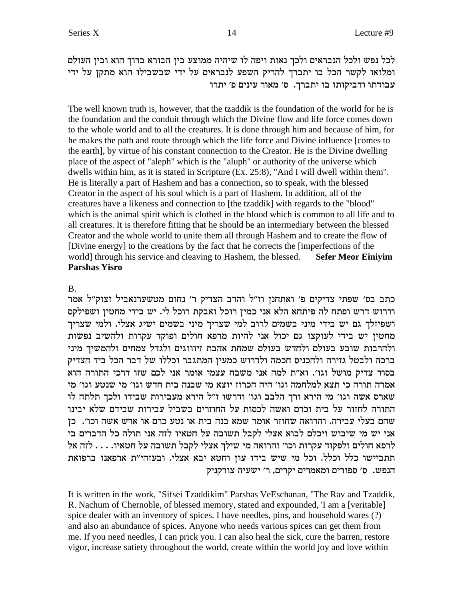לכל נפש ולכל הנבראים ולכך נאות ויפה לו שיהיה ממוצע בין הבורא ברוך הוא ובין העולם ומלואו לקשר הכל בו יתברך להריק השפע לנבראים על ידי שבשבילו הוא מתקן על ידי עבודתו ודביקותו בו יתברך. ס' מאור עינים פ' יתרו

The well known truth is, however, that the tzaddik is the foundation of the world for he is the foundation and the conduit through which the Divine flow and life force comes down to the whole world and to all the creatures. It is done through him and because of him, for he makes the path and route through which the life force and Divine influence [comes to the earth], by virtue of his constant connection to the Creator. He is the Divine dwelling place of the aspect of "aleph" which is the "aluph" or authority of the universe which dwells within him, as it is stated in Scripture (Ex. 25:8), "And I will dwell within them". He is literally a part of Hashem and has a connection, so to speak, with the blessed Creator in the aspect of his soul which is a part of Hashem. In addition, all of the creatures have a likeness and connection to [the tzaddik] with regards to the "blood" which is the animal spirit which is clothed in the blood which is common to all life and to all creatures. It is therefore fitting that he should be an intermediary between the blessed Creator and the whole world to unite them all through Hashem and to create the flow of [Divine energy] to the creations by the fact that he corrects the [imperfections of the world] through his service and cleaving to Hashem, the blessed. **Sefer Meor Einivim Parshas Yisro** 

#### $B<sub>1</sub>$

כתב בס׳ שפתי צדיקים פ׳ ואתחנן וז״ל והרב הצדיק ר׳ נחום מטשערנאביל זצוק״ל אמר ודרוש דרש ופתח לה פיתחא הלא אני כמין רוכל ואבקת רוכל לי. יש בידי מחטין ושפילקס ושפיזלך גם יש בידי מיני בשמים לרוב למי שצריך מיני בשמים ישיג אצלי. ולמי שצריך מחטין יש בידי לעוקצו גם יכול אני להיות מרפא חולים ופוקד עקרות ולהשיב נפשות ולהרבות שובע בעולם ולחדש בעולם שמחת אהבת זיוווגים ולגדל צמחים ולהמשיך מיני ברכה ולבטל גזירה ולהכניס חכמה ולדרוש כמעין המתגבר וכללו של דבר הכל ביד הצדיק בסוד צדיק מושל וגו׳. וא״ת למה אני משבח עצמי אומר אני לכם שזו דרכי התורה הוא אמרה תורה כי תצא למלחמה וגו׳ היה הכרוז יוצא מי שבנה בית חדש וגו׳ מי שנטע וגו׳ מי שארס אשה וגו' מי הירא ורך הלבב וגו' ודרשו ז"ל הירא מעבירות שבידו ולכך תלתה לו התורה לחזור על בית וכרם ואשה לכסות על החוזרים בשביל עבירות שבידם שלא יבינו שהם בעלי עבירה. והרואה שחוזר אומר שמא בנה בית או נטע כרם או ארש אשה וכו׳. כן אני יש מי שיבוש ויכלם לבוא אצלי לקבל תשובה על חטאיו לזה אני תולה כל הדברים בי לרפא חולים ולפקוד עקרות וכו' והרואה מי שילך אצלי לקבל תשובה על חטאיו. . . . לזה אל תתביישו כלל וכלל. וכל מי שיש בידו עון וחטא יבא אצלי. ובעזהי"ת ארפאנו ברפואת הנפש. ס' ספורים ומאמרים יקרים, ר' ישעיה צורקניק

It is written in the work, "Sifsei Tzaddikim" Parshas VeEschanan, "The Rav and Tzaddik, R. Nachum of Chernoble, of blessed memory, stated and expounded, 'I am a [veritable] spice dealer with an inventory of spices. I have needles, pins, and household wares (?) and also an abundance of spices. Anyone who needs various spices can get them from me. If you need needles, I can prick you. I can also heal the sick, cure the barren, restore vigor, increase satiety throughout the world, create within the world joy and love within

14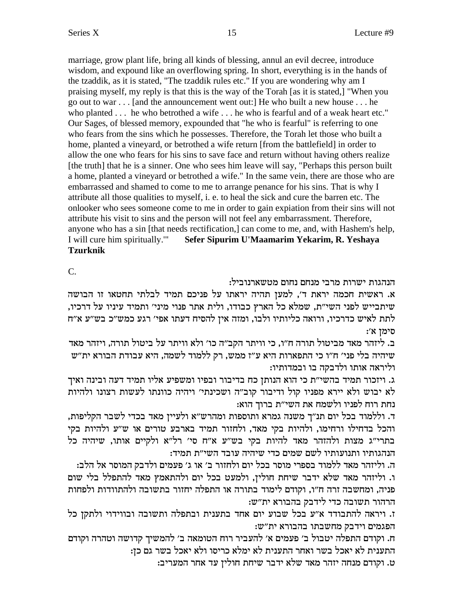marriage, grow plant life, bring all kinds of blessing, annul an evil decree, introduce wisdom, and expound like an overflowing spring. In short, everything is in the hands of the tzaddik, as it is stated, "The tzaddik rules etc." If you are wondering why am I praising myself, my reply is that this is the way of the Torah [as it is stated,] "When you go out to war . . . [and the announcement went out:] He who built a new house . . . he who planted . . . he who betrothed a wife . . . he who is fearful and of a weak heart etc." Our Sages, of blessed memory, expounded that "he who is fearful" is referring to one who fears from the sins which he possesses. Therefore, the Torah let those who built a home, planted a vineyard, or betrothed a wife return [from the battlefield] in order to allow the one who fears for his sins to save face and return without having others realize [the truth] that he is a sinner. One who sees him leave will say, "Perhaps this person built a home, planted a vineyard or betrothed a wife." In the same vein, there are those who are embarrassed and shamed to come to me to arrange penance for his sins. That is why I attribute all those qualities to myself, i. e. to heal the sick and cure the barren etc. The onlooker who sees someone come to me in order to gain expiation from their sins will not attribute his visit to sins and the person will not feel any embarrassment. Therefore, anyone who has a sin [that needs rectification,] can come to me, and, with Hashem's help, I will cure him spiritually.'" **Sefer Sipurim U'Maamarim Yekarim, R. Yeshaya Tzurknik**

C.

הנהגות ישרות מרבי מנחם נחום מטשארנוביל:

א. ראשית חכמה יראת ד', למען תהיה יראתו על פניכם תמיד לבלתי תחטאו זו הבושה שיתבייש לפני השי"ת, שמלא כל הארץ כבודו, ולית אתר פנוי מיני' ותמיד עיניו על דרכיו, לתת לאיש כדרכיו, ורואה כליותיו ולבו, ומזה אין להסיח דעתו אפי׳ רגע כמש״כ בש״ע א״ח :' סימן א

ב. ליזהר מאד מביטול תורה ח״ו, כי וויתר הקב״ה כו׳ ולא וויתר על ביטול תורה, ויזהר מאד שיהיה בלי פני׳ ח״ו כי התפארות היא ע״ז ממש, רק ללמוד לשמה, היא עבודת הבורא ית״ש :וליראה אותו ולדבקה בו ובמדותיו

ג. ויזכור תמיד בהשי״ת כי הוא הנותן כח בדיבור ובפיו ומשפיע אליו תמיד דעה ובינה ואיך לא יבוש ולא יירא מפניו קול ודיבור קוב"ה ושכינתי' ויהיה כוונתו לעשות רצונו ולהיות נחת רוח לפניו ולשמח את השי״ת ברוך הוא:

ד. וללמוד בכל יום תנ"ך משנה גמרא ותוספות ומהרש"א ולעיין מאד בכדי לשבר הקליפות, והכל בדחילו ורחימו, ולהיות בקי מאד, ולחזור תמיד בארבע טורים או ש״ע ולהיות בקי בתרי"ג מצות ולהזהר מאד להיות בקי בש"ע א"ח סי' רל"א ולקיים אותו, שיהיה כל הנהגותיו ותנועותיו לשם שמים כדי שיהיה עובד השי״ת תמיד:

ה. וליזהר מאד ללמוד בספרי מוסר בכל יום ולחזור ב׳ או ג׳ פעמים ולדבק המוסר אל הלב:

ו. וליזהר מאד שלא ידבר שיחת חולין, ולמעט בכל יום ולהתאמץ מאד<sup>'</sup> להתפלל בלי שום פניה, ומחשבה זרה ח"ו, וקודם לימוד בתורה או התפלה יחזור בתשובה ולהתוודות ולפחות :הרהור תשובה כדי לידבק בהבורא ית"ש

ו. ויראה להתבודד א״ע בכל שבוע יום אחד בתענית ובתפלה ותשובה ובווידוי ולתקן כל :שנמים וידבק מחשבתו בהבורא ית"ש

ח. וקודם התפלה יטבול ב׳ פעמים א׳ להעביר רוח הטומאה ב׳ להמשיך קדושה וטהרה וקודם התענית לא יאכל בשר ואחר התענית לא ימלא כריסו ולא יאכל בשר גם כן:

:<br>מ. וקודם מנחה יזהר מאד שלא ידבר שיחת חולין עד אחר המעריב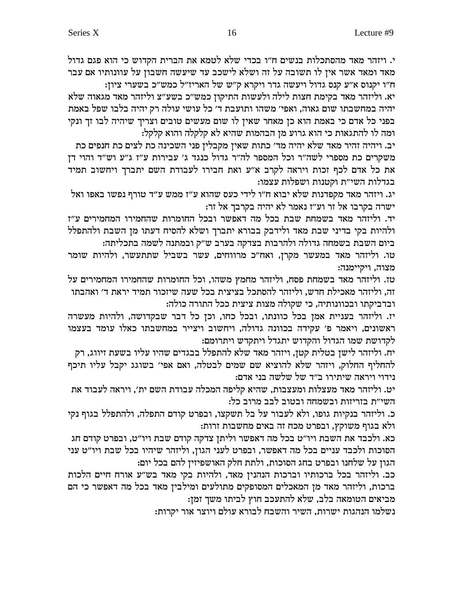י. ויזהר מאד מהסתכלות בנשים ח"ו בכדי שלא לטמא את הברית הקדוש כי הוא פגם גדול מאד ומאד אשר אין לו תשובה על זה ושלא לישכב עד שיעשה חשבון על עוונותיו אם עבר ה״ו יקנוס א״ע קנס גדול ויעשה גדר ויקרא ק״ש של האריז״ל כמש״כ בשערי ציון:

יא. וליזהר מאד בקימת חצות לילה ולעשות התיקון כמש״כ בשע״צ וליזהר מאד מגאוה שלא יהיה במחשבתו שום גאוה, ואפי׳ משהו ותועבת ד׳ כל עושי עולה רק יהיה בלבו שפל באמת בפני כל אדם כי באמת הוא כן מאחר שאין לו שום מעשים טובים וצריך שיהיה לבו זך ונקי ומה לו להתגאות כי הוא גרוע מן הבהמות שהיא לא קלקלה והוא קלקל:

יב. ויהיה זהיר מאד שלא יהיה מד׳ כתות שאין מקבלין פני השכינה כת לצים כת חנפים כת משקרים כת מספרי לשה"ר וכל המספר לה"ר גדול כנגד ג' עבירות ע"ז ג"ע וש"ד והוי דן את כל אדם לכף זכות ויראה לקרב א"ע ואת חבירו לעבודת השם יתברך ויחשוב תמיד בגדלות השי״ת וקטנות ושפלות עצמו:

יג. ויזהר מאד מקפדנות שלא יבוא ח״ו לידי כעס שהוא ע״ז ממש ע״ד טורף נפשו באפו ואל ישרה בקרבו אל זר וע"ז נאמר לא יהיה בקרבך אל זר:

יד. וליזהר מאד בשמחת שבת בכל מה דאפשר ובכל החומרות שהחמירו המחמירים ע"ז ולהיות בקי בדיני שבת מאד ולידבק בבורא יתברך ושלא להסיח דעתו מן השבת ולהתפלל ביום השבת בשמחה גדולה ולהרבות בצדקה בערב ש״ק ובמתנה לשמה בתכליתה:

טו. וליזהר מאד במעשר מקרן, ואח"כ מרווחים, עשר בשביל שתתעשר, ולהיות שומר מצוה, ויקיימנה:

טז. וליזהר מאד בשמחת פסח, וליזהר מחמץ משהו, וכל החומרות שהחמירו המחמירים על זה, וליזהר מאכילת חדש, וליזהר להסתכל בציצית בכל שעה שיזכור תמיד יראת ד׳ ואהבתו ובדביקתו ובכוונותיה, כי שקולה מצות ציצית ככל התורה כולה:

יז. וליזהר בעניית אמן בכל כוונתו, ובכל כחו, וכן כל דבר שבקדושה, ולהיות מעשרה ראשונים, ויאמר פ׳ עקידה בכוונה גדולה, ויחשוב ויצייר במחשבתו כאלו עומד בעצמו לקדושת שמו הגדול והקדוש יתגדל ויתקדש ויתרומם:

יח. וליזהר לישן בטלית קטן, ויזהר מאד שלא להתפלל בבגדים שהיו עליו בשעת זיווג, רק להחליף החלוק, ויזהר שלא להוציא שם שמים לבטלה, ואם אפי׳ בשוגג יקבל עליו תיכף .<br>נידוי ויראה שיתירו ב״ד של שלשה בני אדם:

יט. וליזהר מאד מעצלות ומעצבות, שהיא קליפה המכלה עבודת השם ית׳, ויראה לעבוד את השי״ת בזריזות ובשמחה ובטוב לבב מרוב כל:

כ. וליזהר בנקיות גופו, ולא לעבור על בל תשקצו, ובפרט קודם התפלה, ולהתפלל בגוף נקי ולא בגוף משוקץ, ובפרט מכח זה באים מחשבות זרות:

כא. ולכבד את השבת ויו״ט בכל מה דאפשר וליתן צדקה קודם שבת ויו״ט, ובפרט קודם חג הסוכות ולכבד עניים בכל מה דאפשר, ובפרט לעני הגון, וליזהר שיהיו בכל שבת ויו"ט עני הגון על שלחנו ובפרט בחג הסוכות, ולתת חלק האושפיזין להם בכל יום:

כב. וליזהר בכל ברכותיו וברכות הנהנין מאד, ולהיות בקי מאד בש״ע אורח חיים הלכות .<br>ברכות, וליזהר מאד מן המאכלים המסופקים מתולעים ומילבין מאד בכל מה דאפשר כי הם מביאים הטומאה בלב, שלא להתעכב חוץ לביתו משך זמן:

נשלמו הנהגות ישרות, השיר והשבח לבורא עולם ויוצר אור יקרות: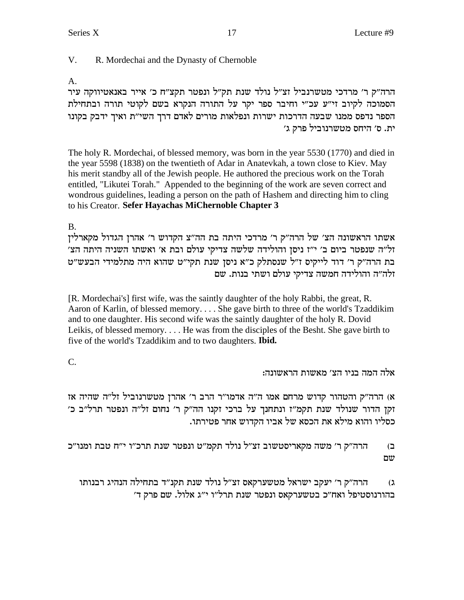#### V. R. Mordechai and the Dynasty of Chernoble

 $A<sub>1</sub>$ 

הרה"ק ר' מרדכי מטשרנביל זצ"ל נולד שנת תק"ל ונפטר תקצ"ח כ' אייר באנאטיווקה עיר הסמוכה לקיוב זי"ע עכ"י וחיבר ספר יקר על התורה הנקרא בשם לקוטי תורה ובתחילת הספר נדפס ממנו שבעה הדרכות ישרות ונפלאות מורים לאדם דרך השי״ת ואיך ידבק בקונו ית. ס׳ היחס מטשרנוביל פרק ג׳

The holy R. Mordechai, of blessed memory, was born in the year 5530 (1770) and died in the year 5598 (1838) on the twentieth of Adar in Anatevkah, a town close to Kiev. May his merit standby all of the Jewish people. He authored the precious work on the Torah entitled, "Likutei Torah." Appended to the beginning of the work are seven correct and wondrous guidelines, leading a person on the path of Hashem and directing him to cling to his Creator. Sefer Hayachas MiChernoble Chapter 3

 $\mathbf{B}$ .

אשתו הראשונה הצ׳ של הרה״ק ר׳ מרדכי היתה בת הה״צ הקדוש ר׳ אהרן הגדול מקארלין זל"ה שנפטר ביום ב' י"ז ניסן והולידה שלשה צדיקי עולם ובת א' ואשתו השניה היתה הצ' בת הרה"ק ר' דוד לייקיס ז"ל שנסתלק כ"א ניסן שנת תקי"ט שהוא היה מתלמידי הבעש"ט זלה"ה והולידה חמשה צדיקי עולם ושתי בנות. שם

[R. Mordechai's] first wife, was the saintly daughter of the holy Rabbi, the great, R. Aaron of Karlin, of blessed memory.... She gave birth to three of the world's Tzaddikim and to one daughter. His second wife was the saintly daughter of the holy R. Dovid Leikis, of blessed memory.... He was from the disciples of the Besht. She gave birth to five of the world's Tzaddikim and to two daughters. Ibid.

 $C_{\cdot}$ 

אלה המה בניו הצ׳ מאשות הראשונה:

א) הרה"ק והטהור קדוש מרחם אמו ה"ה אדמו"ר הרב ר' אהרן מטשרנוביל זל"ה שהיה אז זקן הדור שנולד שנת תקמ"ז ונתחנך על ברכי זקנו הה"ק ר' נחום זל"ה ונפטר תרל"ב כ' כסליו והוא מילא את הכסא של אביו הקדוש אחר פטירתו.

הרה"ק ר' משה מקאריסטשוב זצ"ל נולד תקמ"ט ונפטר שנת תרכ"ו י"ח טבת ומנו"כ (⊐ שם $\,$ 

הרה"ק ר' יעקב ישראל מטשערקאס זצ"ל נולד שנת תקנ"ד בתחילה הנהיג רבנותו  $(2)$ בהורנוסטיפל ואח״כ בטשערקאס ונפטר שנת תרל״ו י״ג אלול. שם פרק ד׳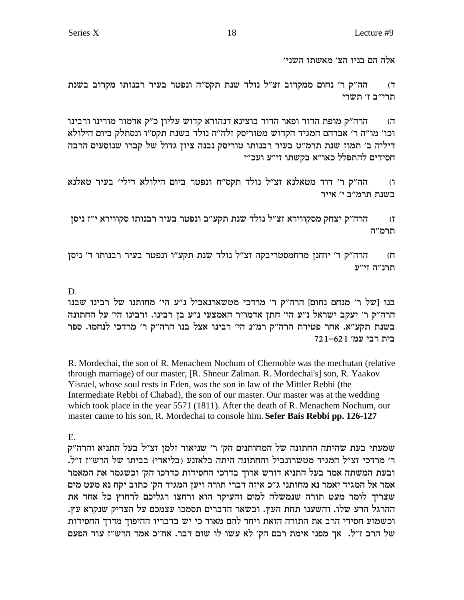אלה הם בניו הצ׳ מאשתו השני׳

הה"ק ר' נחום ממקרוב זצ"ל נולד שנת תקס"ה ונפטר בעיר רבנותו מקרוב בשנת  $(7)$ תרי"ב ז' תשרי

הרה"ק מופת הדור ופאר הדור בוצינא דנהורא קדוש עליון כ"ק אדמור מורינו ורבינו ה) וכו' מו"ה ר' אברהם המגיד הקדוש מטוריסק זלה"ה נולד בשנת תקס"ו ונסתלק ביום הילולא דיליה ב' תמוז שנת תרמ"ט בעיר רבנותו טוריסק נבנה ציון גדול של קברו שנוסעים הרבה חסידים להתפלל כאו״א בקשתו זי״ע ועכ״י

הה"ק ר' דוד מטאלנא זצ"ל נולד תקס"ח ונפטר ביום הילולא דילי' בעיר טאלנא  $(1)$ בשנת תרמ"ב י' אייר

הרה"ק יצחק מסקווירא זצ"ל נולד שנת תקע"ב ונפטר בעיר רבנותו סקווירא י"ז ניסן  $(7)$ תרמ״ה

הרה"ק ר' יוחנן מרחמסטריבקה זצ"ל נולד שנת תקע"ו ונפטר בעיר רבנותו ד' ניסן  $(\mathsf{n})$ תרנ"ה זי"ע

D.

בנו [של ר' מנחם נחום] הרה"ק ר' מרדכי מטשארנאביל נ"ע הי' מחותנו של רבינו שבנו הרה"ק ר' יעקב ישראל נ"ע הי' חתן אדמו"ר האמצעי נ"ע בן רבינו. ורבינו הי' על החתונה בשנת תקע"א. אחר פטירת הרה"ק רמ"נ הי' רבינו אצל בנו הרה"ק ר' מרדכי לנחמו. ספר  $721 - 621$  יבית בית

R. Mordechai, the son of R. Menachem Nochum of Chernoble was the mechutan (relative through marriage) of our master, [R. Shneur Zalman. R. Mordechai's] son, R. Yaakov Yisrael, whose soul rests in Eden, was the son in law of the Mittler Rebbi (the Intermediate Rebbi of Chabad), the son of our master. Our master was at the wedding which took place in the year 5571 (1811). After the death of R. Menachem Nochum, our master came to his son, R. Mordechai to console him. Sefer Bais Rebbi pp. 126-127

 $E.$ 

שמעתי בעת שהיתה החתונה של המחותנים הק׳ ר׳ שניאור זלמן זצ״ל בעל התניא והרה״ק ר' מרדכי זצ"ל המגיד מטשרונביל והחתונה היתה בלאזנע (בליאדי) בביתו של הרש"ז ז"ל. ובעת המשתה אמר בעל התניא דורש ארוך בדרכי החסידות כדרכו הק׳ וכשגמר את המאמר אמר אל המגיד יאמר נא מחותני ג"כ איזה דברי תורה ויען המגיד הק' כתוב יקח נא מעט מים שצריך לומר מעט תורה שנמשלה למים והעיקר הוא ורחצו רגליכם לרחוץ כל אחד את ההרגל הרע שלו. והשענו תחת העץ. ובשאר הדברים תסמכו עצמכם על הצדיק שנקרא עץ. וכשמוע חסידי הרב את התורה הזאת ויחר להם מאוד כי יש בדבריו ההיפוך מדרך החסידות של הרב ז"ל. אך מפני אימת רבם הק' לא עשו לו שום דבר. אח"כ אמר הרש"ז עוד הפעם